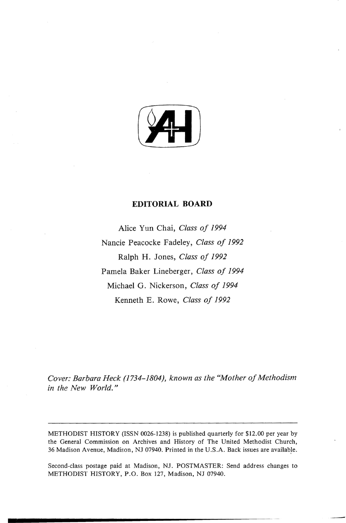

## **EDITORIAL BOARD**

Alice Yun Chai, *Class of 1994*  Nancie Peacocke Fadeley, *Class of 1992*  Ralph H. Jones, *Class of 1992*  Pamela Baker Lineberger, *Class of 1994*  Michael G. Nickerson, *Class of 1994*  Kenneth E. Rowe, *Class of 1992* 

*Cover: Barbara Heck (1734-1804), known as the "Mother of Methodism in the New World.*"

METHODIST HISTORY (ISSN 0026-1238) is published quarterly for \$12.00 per year by the General Commission on Archives and History of The United Methodist Church, 36 Madison Avenue, Madison, NJ 07940. Printed in the U.S.A. Back issues are available.

Second-class postage paid at Madison, NJ. POSTMASTER: Send address changes to METHODIST HISTORY, P.O. Box 127, Madison, NJ 07940.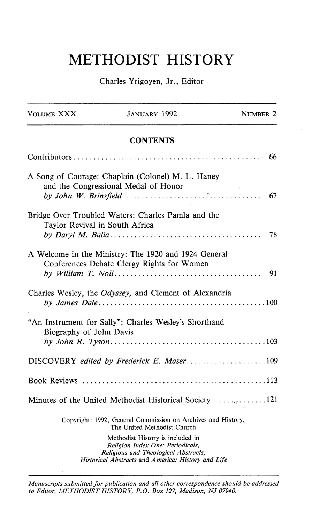## METHODIST HISTORY

## Charles Yrigoyen, Jr., Editor

| VOLUME XXX                     | <b>JANUARY 1992</b>                                                                                                                                                | NUMBER 2 |
|--------------------------------|--------------------------------------------------------------------------------------------------------------------------------------------------------------------|----------|
|                                | <b>CONTENTS</b>                                                                                                                                                    |          |
|                                |                                                                                                                                                                    |          |
|                                | A Song of Courage: Chaplain (Colonel) M. L. Haney<br>and the Congressional Medal of Honor<br>by John W. Brinsfield $\ldots \ldots \ldots \ldots \ldots \ldots$     |          |
| Taylor Revival in South Africa | Bridge Over Troubled Waters: Charles Pamla and the                                                                                                                 | 78       |
|                                | A Welcome in the Ministry: The 1920 and 1924 General<br>Conferences Debate Clergy Rights for Women                                                                 | 91       |
|                                | Charles Wesley, the <i>Odyssey</i> , and Clement of Alexandria                                                                                                     |          |
| Biography of John Davis        | "An Instrument for Sally": Charles Wesley's Shorthand                                                                                                              |          |
|                                |                                                                                                                                                                    |          |
|                                |                                                                                                                                                                    |          |
|                                | Minutes of the United Methodist Historical Society $\ldots$ .                                                                                                      |          |
|                                | Copyright: 1992, General Commission on Archives and History,<br>The United Methodist Church                                                                        |          |
|                                | Methodist History is included in<br>Religion Index One: Periodicals,<br>Religious and Theological Abstracts,<br>Historical Abstracts and America: History and Life |          |

*Manuscripts submitted for publication and all other correspondence should be addressed to Editor, METHODIST HISTORY, P.* 0. *Box 127, Madison, NJ 07940.*